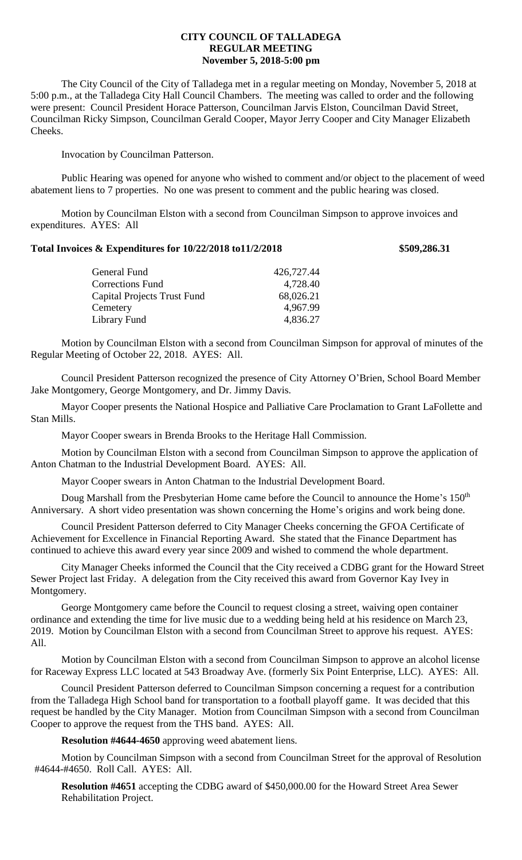# **CITY COUNCIL OF TALLADEGA REGULAR MEETING November 5, 2018-5:00 pm**

The City Council of the City of Talladega met in a regular meeting on Monday, November 5, 2018 at 5:00 p.m., at the Talladega City Hall Council Chambers. The meeting was called to order and the following were present: Council President Horace Patterson, Councilman Jarvis Elston, Councilman David Street, Councilman Ricky Simpson, Councilman Gerald Cooper, Mayor Jerry Cooper and City Manager Elizabeth Cheeks.

Invocation by Councilman Patterson.

Public Hearing was opened for anyone who wished to comment and/or object to the placement of weed abatement liens to 7 properties. No one was present to comment and the public hearing was closed.

Motion by Councilman Elston with a second from Councilman Simpson to approve invoices and expenditures. AYES: All

### **Total Invoices & Expenditures for 10/22/2018 to11/2/2018 \$509,286.31**

| General Fund                       | 426,727.44 |
|------------------------------------|------------|
| <b>Corrections Fund</b>            | 4,728.40   |
| <b>Capital Projects Trust Fund</b> | 68,026.21  |
| Cemetery                           | 4,967.99   |
| Library Fund                       | 4,836.27   |

Motion by Councilman Elston with a second from Councilman Simpson for approval of minutes of the Regular Meeting of October 22, 2018. AYES: All.

Council President Patterson recognized the presence of City Attorney O'Brien, School Board Member Jake Montgomery, George Montgomery, and Dr. Jimmy Davis.

Mayor Cooper presents the National Hospice and Palliative Care Proclamation to Grant LaFollette and Stan Mills.

Mayor Cooper swears in Brenda Brooks to the Heritage Hall Commission.

Motion by Councilman Elston with a second from Councilman Simpson to approve the application of Anton Chatman to the Industrial Development Board. AYES: All.

Mayor Cooper swears in Anton Chatman to the Industrial Development Board.

Doug Marshall from the Presbyterian Home came before the Council to announce the Home's 150<sup>th</sup> Anniversary. A short video presentation was shown concerning the Home's origins and work being done.

Council President Patterson deferred to City Manager Cheeks concerning the GFOA Certificate of Achievement for Excellence in Financial Reporting Award. She stated that the Finance Department has continued to achieve this award every year since 2009 and wished to commend the whole department.

City Manager Cheeks informed the Council that the City received a CDBG grant for the Howard Street Sewer Project last Friday. A delegation from the City received this award from Governor Kay Ivey in Montgomery.

George Montgomery came before the Council to request closing a street, waiving open container ordinance and extending the time for live music due to a wedding being held at his residence on March 23, 2019. Motion by Councilman Elston with a second from Councilman Street to approve his request. AYES: All.

Motion by Councilman Elston with a second from Councilman Simpson to approve an alcohol license for Raceway Express LLC located at 543 Broadway Ave. (formerly Six Point Enterprise, LLC). AYES: All.

Council President Patterson deferred to Councilman Simpson concerning a request for a contribution from the Talladega High School band for transportation to a football playoff game. It was decided that this request be handled by the City Manager. Motion from Councilman Simpson with a second from Councilman Cooper to approve the request from the THS band. AYES: All.

**Resolution #4644-4650** approving weed abatement liens.

Motion by Councilman Simpson with a second from Councilman Street for the approval of Resolution #4644-#4650. Roll Call. AYES: All.

**Resolution #4651** accepting the CDBG award of \$450,000.00 for the Howard Street Area Sewer Rehabilitation Project.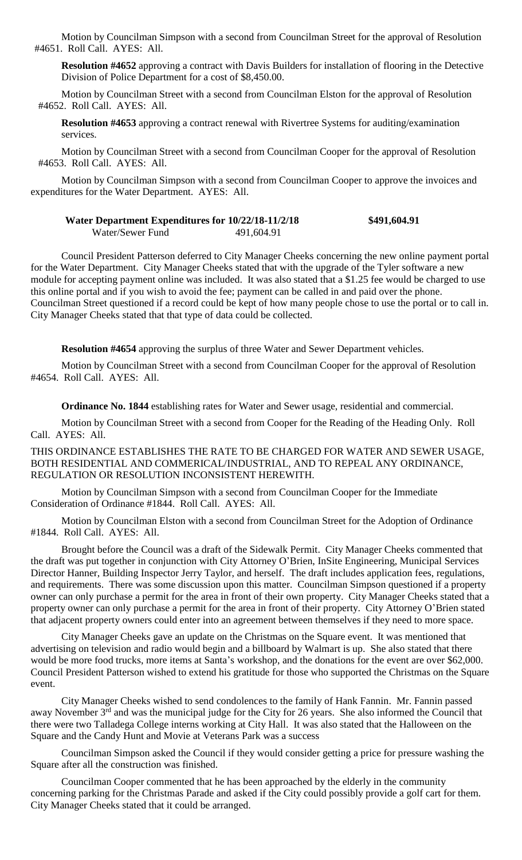Motion by Councilman Simpson with a second from Councilman Street for the approval of Resolution #4651. Roll Call. AYES: All.

**Resolution #4652** approving a contract with Davis Builders for installation of flooring in the Detective Division of Police Department for a cost of \$8,450.00.

Motion by Councilman Street with a second from Councilman Elston for the approval of Resolution #4652. Roll Call. AYES: All.

**Resolution #4653** approving a contract renewal with Rivertree Systems for auditing/examination services.

Motion by Councilman Street with a second from Councilman Cooper for the approval of Resolution #4653. Roll Call. AYES: All.

Motion by Councilman Simpson with a second from Councilman Cooper to approve the invoices and expenditures for the Water Department. AYES: All.

### **Water Department Expenditures for 10/22/18-11/2/18 \$491,604.91** Water/Sewer Fund 491,604.91

Council President Patterson deferred to City Manager Cheeks concerning the new online payment portal for the Water Department. City Manager Cheeks stated that with the upgrade of the Tyler software a new module for accepting payment online was included. It was also stated that a \$1.25 fee would be charged to use this online portal and if you wish to avoid the fee; payment can be called in and paid over the phone. Councilman Street questioned if a record could be kept of how many people chose to use the portal or to call in. City Manager Cheeks stated that that type of data could be collected.

**Resolution #4654** approving the surplus of three Water and Sewer Department vehicles.

Motion by Councilman Street with a second from Councilman Cooper for the approval of Resolution #4654. Roll Call. AYES: All.

**Ordinance No. 1844** establishing rates for Water and Sewer usage, residential and commercial.

Motion by Councilman Street with a second from Cooper for the Reading of the Heading Only. Roll Call. AYES: All.

THIS ORDINANCE ESTABLISHES THE RATE TO BE CHARGED FOR WATER AND SEWER USAGE, BOTH RESIDENTIAL AND COMMERICAL/INDUSTRIAL, AND TO REPEAL ANY ORDINANCE, REGULATION OR RESOLUTION INCONSISTENT HEREWITH.

Motion by Councilman Simpson with a second from Councilman Cooper for the Immediate Consideration of Ordinance #1844. Roll Call. AYES: All.

Motion by Councilman Elston with a second from Councilman Street for the Adoption of Ordinance #1844. Roll Call. AYES: All.

Brought before the Council was a draft of the Sidewalk Permit. City Manager Cheeks commented that the draft was put together in conjunction with City Attorney O'Brien, InSite Engineering, Municipal Services Director Hanner, Building Inspector Jerry Taylor, and herself. The draft includes application fees, regulations, and requirements. There was some discussion upon this matter. Councilman Simpson questioned if a property owner can only purchase a permit for the area in front of their own property. City Manager Cheeks stated that a property owner can only purchase a permit for the area in front of their property. City Attorney O'Brien stated that adjacent property owners could enter into an agreement between themselves if they need to more space.

City Manager Cheeks gave an update on the Christmas on the Square event. It was mentioned that advertising on television and radio would begin and a billboard by Walmart is up. She also stated that there would be more food trucks, more items at Santa's workshop, and the donations for the event are over \$62,000. Council President Patterson wished to extend his gratitude for those who supported the Christmas on the Square event.

City Manager Cheeks wished to send condolences to the family of Hank Fannin. Mr. Fannin passed away November 3<sup>rd</sup> and was the municipal judge for the City for 26 years. She also informed the Council that there were two Talladega College interns working at City Hall. It was also stated that the Halloween on the Square and the Candy Hunt and Movie at Veterans Park was a success

Councilman Simpson asked the Council if they would consider getting a price for pressure washing the Square after all the construction was finished.

Councilman Cooper commented that he has been approached by the elderly in the community concerning parking for the Christmas Parade and asked if the City could possibly provide a golf cart for them. City Manager Cheeks stated that it could be arranged.